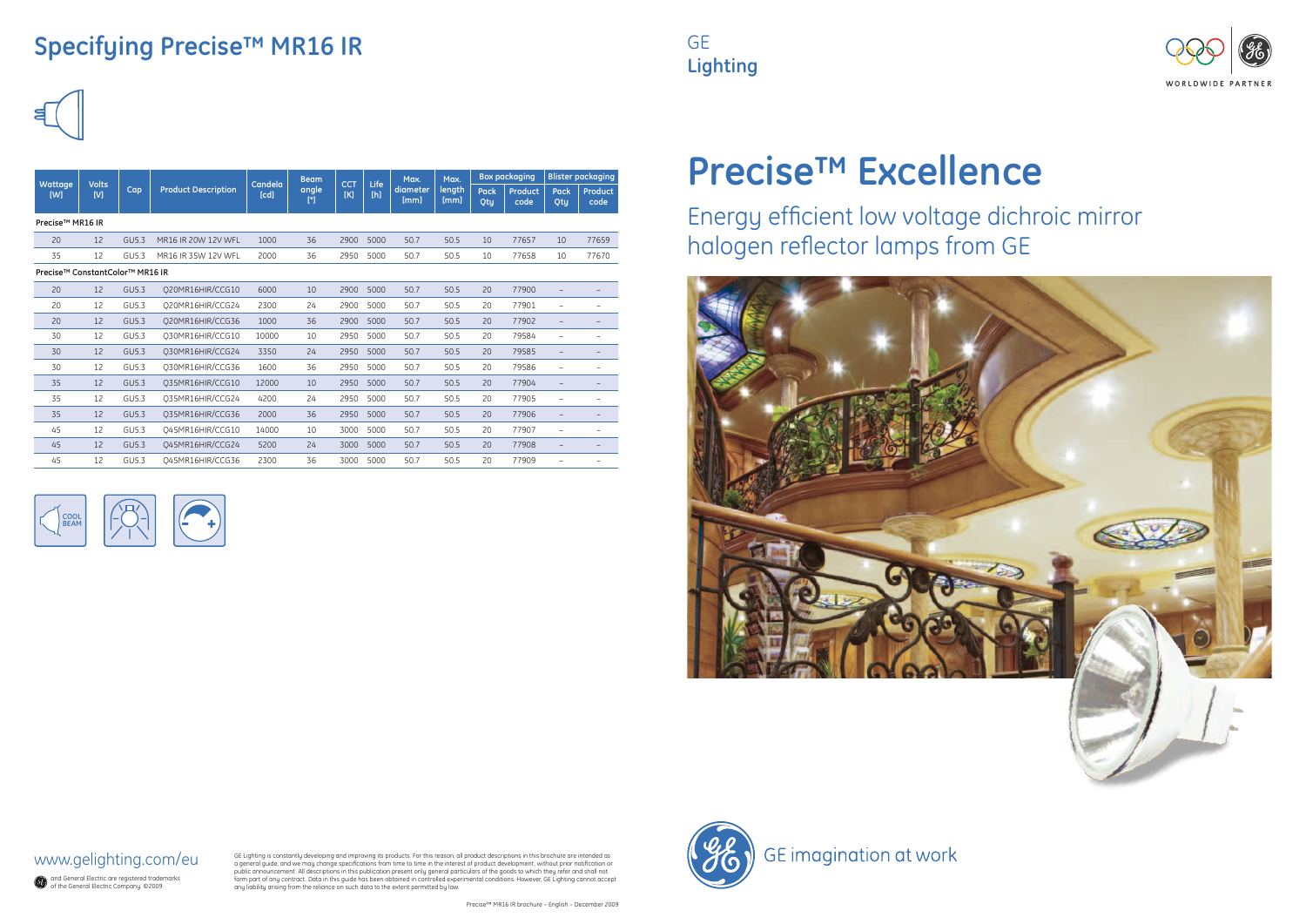| Wattage<br>[W]                  | <b>Volts</b><br>[V] | Cap          | <b>Product Description</b> | Candela<br>[cd] | <b>Beam</b><br>angle<br>[°] | <b>CCT</b><br>[K] | Life<br>[h] | Max.<br>diameter<br>[mm] | Max.<br>length<br>[mm] | <b>Box packaging</b> |                 | <b>Blister packaging</b> |                          |  |  |  |
|---------------------------------|---------------------|--------------|----------------------------|-----------------|-----------------------------|-------------------|-------------|--------------------------|------------------------|----------------------|-----------------|--------------------------|--------------------------|--|--|--|
|                                 |                     |              |                            |                 |                             |                   |             |                          |                        | <b>Pack</b><br>Qty   | Product<br>code | <b>Pack</b><br>Qty       | Product<br>code          |  |  |  |
| Precise <sup>™</sup> MR16 IR    |                     |              |                            |                 |                             |                   |             |                          |                        |                      |                 |                          |                          |  |  |  |
| 20                              | 12                  | <b>GU5.3</b> | MR16 IR 20W 12V WFL        | 1000            | 36                          | 2900              | 5000        | 50.7                     | 50.5                   | 10                   | 77657           | 10                       | 77659                    |  |  |  |
| 35                              | 12                  | GU5.3        | MR16 IR 35W 12V WFL        | 2000            | 36                          | 2950              | 5000        | 50.7                     | 50.5                   | 10                   | 77658           | 10                       | 77670                    |  |  |  |
| Precise™ ConstantColor™ MR16 IR |                     |              |                            |                 |                             |                   |             |                          |                        |                      |                 |                          |                          |  |  |  |
| 20                              | 12                  | GU5.3        | Q20MR16HIR/CCG10           | 6000            | 10                          | 2900              | 5000        | 50.7                     | 50.5                   | 20                   | 77900           | $\overline{\phantom{0}}$ |                          |  |  |  |
| 20                              | 12                  | GU5.3        | Q20MR16HIR/CCG24           | 2300            | 24                          | 2900              | 5000        | 50.7                     | 50.5                   | 20                   | 77901           | $\overline{\phantom{m}}$ |                          |  |  |  |
| 20                              | 12                  | GU5.3        | Q20MR16HIR/CCG36           | 1000            | 36                          | 2900              | 5000        | 50.7                     | 50.5                   | 20                   | 77902           | $\qquad \qquad -$        |                          |  |  |  |
| 30                              | 12                  | GU5.3        | O30MR16HIR/CCG10           | 10000           | 10                          | 2950              | 5000        | 50.7                     | 50.5                   | 20                   | 79584           | $\overline{\phantom{m}}$ |                          |  |  |  |
| 30                              | 12                  | GU5.3        | Q30MR16HIR/CCG24           | 3350            | 24                          | 2950              | 5000        | 50.7                     | 50.5                   | 20                   | 79585           | $\overline{\phantom{a}}$ | -                        |  |  |  |
| 30                              | 12                  | GU5.3        | Q30MR16HIR/CCG36           | 1600            | 36                          | 2950              | 5000        | 50.7                     | 50.5                   | 20                   | 79586           | $\overline{\phantom{m}}$ |                          |  |  |  |
| 35                              | 12                  | GU5.3        | O35MR16HIR/CCG10           | 12000           | 10                          | 2950              | 5000        | 50.7                     | 50.5                   | 20                   | 77904           | $\qquad \qquad -$        |                          |  |  |  |
| 35                              | 12                  | GU5.3        | O35MR16HIR/CCG24           | 4200            | 24                          | 2950              | 5000        | 50.7                     | 50.5                   | 20                   | 77905           | $\overline{\phantom{0}}$ |                          |  |  |  |
| 35                              | 12                  | GU5.3        | Q35MR16HIR/CCG36           | 2000            | 36                          | 2950              | 5000        | 50.7                     | 50.5                   | 20                   | 77906           | $\qquad \qquad -$        |                          |  |  |  |
| 45                              | 12                  | GU5.3        | Q45MR16HIR/CCG10           | 14000           | 10                          | 3000              | 5000        | 50.7                     | 50.5                   | 20                   | 77907           | $\overline{\phantom{0}}$ |                          |  |  |  |
| 45                              | 12                  | GU5.3        | Q45MR16HIR/CCG24           | 5200            | 24                          | 3000              | 5000        | 50.7                     | 50.5                   | 20                   | 77908           | $\overline{\phantom{a}}$ | $\overline{\phantom{m}}$ |  |  |  |
| 45                              | 12                  | GU5.3        | Q45MR16HIR/CCG36           | 2300            | 36                          | 3000              | 5000        | 50.7                     | 50.5                   | 20                   | 77909           | $\overline{\phantom{0}}$ |                          |  |  |  |

## **Specifying Precise™ MR16 IR**





and General Electric are registered trademarks of the General Electric Company. ©2009

GE Lighting is constantly developing and improving its products. For this reason, all product descriptions in this brochure are intended as<br>a general guide, and we may change specifications from time to time in the interes

### www.gelighting.com/eu





# **Precise™ Excellence**

Energy efficient low voltage dichroic mirror halogen reflector lamps from GE